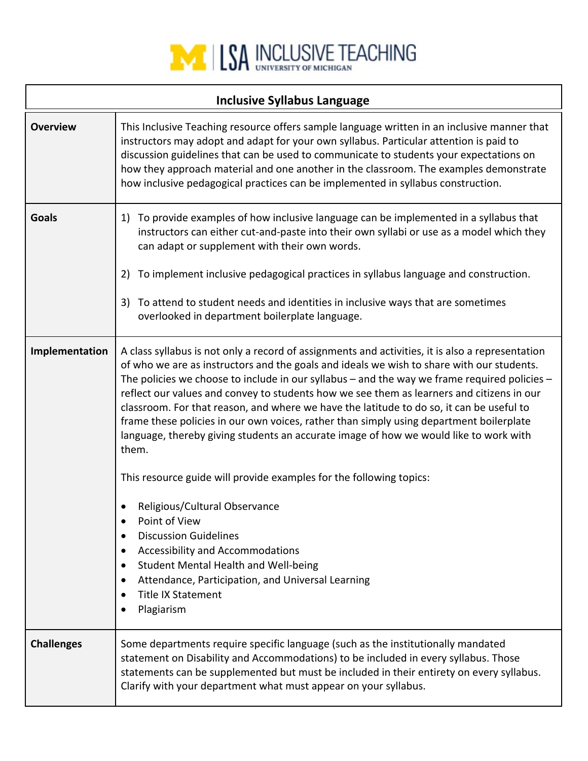

| <b>Inclusive Syllabus Language</b> |                                                                                                                                                                                                                                                                                                                                                                                                                                                                                                                                                                                                                                                                                     |  |
|------------------------------------|-------------------------------------------------------------------------------------------------------------------------------------------------------------------------------------------------------------------------------------------------------------------------------------------------------------------------------------------------------------------------------------------------------------------------------------------------------------------------------------------------------------------------------------------------------------------------------------------------------------------------------------------------------------------------------------|--|
| <b>Overview</b>                    | This Inclusive Teaching resource offers sample language written in an inclusive manner that<br>instructors may adopt and adapt for your own syllabus. Particular attention is paid to<br>discussion guidelines that can be used to communicate to students your expectations on<br>how they approach material and one another in the classroom. The examples demonstrate<br>how inclusive pedagogical practices can be implemented in syllabus construction.                                                                                                                                                                                                                        |  |
| <b>Goals</b>                       | To provide examples of how inclusive language can be implemented in a syllabus that<br>1)<br>instructors can either cut-and-paste into their own syllabi or use as a model which they<br>can adapt or supplement with their own words.<br>To implement inclusive pedagogical practices in syllabus language and construction.<br>2)<br>To attend to student needs and identities in inclusive ways that are sometimes<br>3)<br>overlooked in department boilerplate language.                                                                                                                                                                                                       |  |
| Implementation                     | A class syllabus is not only a record of assignments and activities, it is also a representation<br>of who we are as instructors and the goals and ideals we wish to share with our students.<br>The policies we choose to include in our syllabus – and the way we frame required policies –<br>reflect our values and convey to students how we see them as learners and citizens in our<br>classroom. For that reason, and where we have the latitude to do so, it can be useful to<br>frame these policies in our own voices, rather than simply using department boilerplate<br>language, thereby giving students an accurate image of how we would like to work with<br>them. |  |
|                                    | This resource guide will provide examples for the following topics:<br>Religious/Cultural Observance<br>Point of View<br><b>Discussion Guidelines</b><br>٠<br><b>Accessibility and Accommodations</b><br>$\bullet$<br>Student Mental Health and Well-being<br>$\bullet$<br>Attendance, Participation, and Universal Learning<br>$\bullet$<br><b>Title IX Statement</b><br>٠<br>Plagiarism<br>$\bullet$                                                                                                                                                                                                                                                                              |  |
| <b>Challenges</b>                  | Some departments require specific language (such as the institutionally mandated<br>statement on Disability and Accommodations) to be included in every syllabus. Those<br>statements can be supplemented but must be included in their entirety on every syllabus.<br>Clarify with your department what must appear on your syllabus.                                                                                                                                                                                                                                                                                                                                              |  |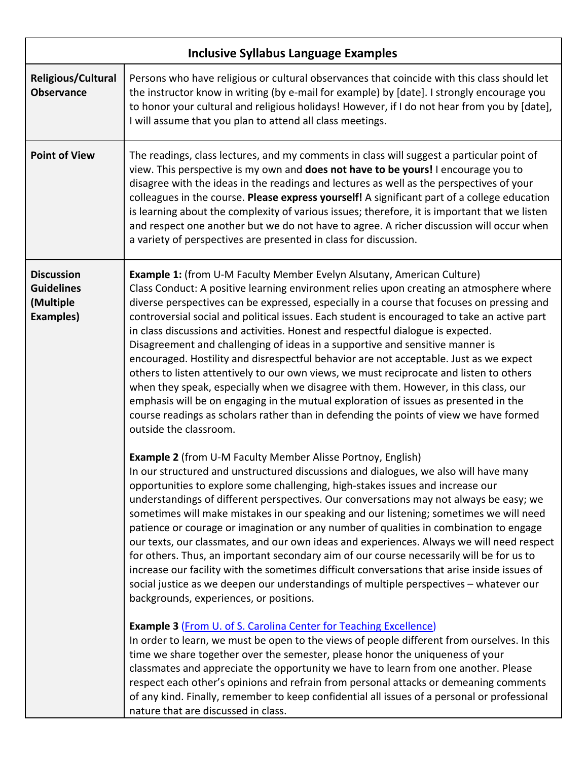| <b>Inclusive Syllabus Language Examples</b>                      |                                                                                                                                                                                                                                                                                                                                                                                                                                                                                                                                                                                                                                                                                                                                                                                                                                                                                                                                                                                                                                                                                                                                                                                                                                                                                     |  |
|------------------------------------------------------------------|-------------------------------------------------------------------------------------------------------------------------------------------------------------------------------------------------------------------------------------------------------------------------------------------------------------------------------------------------------------------------------------------------------------------------------------------------------------------------------------------------------------------------------------------------------------------------------------------------------------------------------------------------------------------------------------------------------------------------------------------------------------------------------------------------------------------------------------------------------------------------------------------------------------------------------------------------------------------------------------------------------------------------------------------------------------------------------------------------------------------------------------------------------------------------------------------------------------------------------------------------------------------------------------|--|
| <b>Religious/Cultural</b><br><b>Observance</b>                   | Persons who have religious or cultural observances that coincide with this class should let<br>the instructor know in writing (by e-mail for example) by [date]. I strongly encourage you<br>to honor your cultural and religious holidays! However, if I do not hear from you by [date],<br>I will assume that you plan to attend all class meetings.                                                                                                                                                                                                                                                                                                                                                                                                                                                                                                                                                                                                                                                                                                                                                                                                                                                                                                                              |  |
| <b>Point of View</b>                                             | The readings, class lectures, and my comments in class will suggest a particular point of<br>view. This perspective is my own and does not have to be yours! I encourage you to<br>disagree with the ideas in the readings and lectures as well as the perspectives of your<br>colleagues in the course. Please express yourself! A significant part of a college education<br>is learning about the complexity of various issues; therefore, it is important that we listen<br>and respect one another but we do not have to agree. A richer discussion will occur when<br>a variety of perspectives are presented in class for discussion.                                                                                                                                                                                                                                                                                                                                                                                                                                                                                                                                                                                                                                        |  |
| <b>Discussion</b><br><b>Guidelines</b><br>(Multiple<br>Examples) | <b>Example 1:</b> (from U-M Faculty Member Evelyn Alsutany, American Culture)<br>Class Conduct: A positive learning environment relies upon creating an atmosphere where<br>diverse perspectives can be expressed, especially in a course that focuses on pressing and<br>controversial social and political issues. Each student is encouraged to take an active part<br>in class discussions and activities. Honest and respectful dialogue is expected.<br>Disagreement and challenging of ideas in a supportive and sensitive manner is<br>encouraged. Hostility and disrespectful behavior are not acceptable. Just as we expect<br>others to listen attentively to our own views, we must reciprocate and listen to others<br>when they speak, especially when we disagree with them. However, in this class, our<br>emphasis will be on engaging in the mutual exploration of issues as presented in the<br>course readings as scholars rather than in defending the points of view we have formed<br>outside the classroom.<br><b>Example 2</b> (from U-M Faculty Member Alisse Portnoy, English)<br>In our structured and unstructured discussions and dialogues, we also will have many<br>opportunities to explore some challenging, high-stakes issues and increase our |  |
|                                                                  | understandings of different perspectives. Our conversations may not always be easy; we<br>sometimes will make mistakes in our speaking and our listening; sometimes we will need<br>patience or courage or imagination or any number of qualities in combination to engage<br>our texts, our classmates, and our own ideas and experiences. Always we will need respect<br>for others. Thus, an important secondary aim of our course necessarily will be for us to<br>increase our facility with the sometimes difficult conversations that arise inside issues of<br>social justice as we deepen our understandings of multiple perspectives - whatever our<br>backgrounds, experiences, or positions.                                                                                                                                                                                                                                                                                                                                                                                                                                                                                                                                                                            |  |
|                                                                  | <b>Example 3 (From U. of S. Carolina Center for Teaching Excellence)</b><br>In order to learn, we must be open to the views of people different from ourselves. In this<br>time we share together over the semester, please honor the uniqueness of your<br>classmates and appreciate the opportunity we have to learn from one another. Please<br>respect each other's opinions and refrain from personal attacks or demeaning comments<br>of any kind. Finally, remember to keep confidential all issues of a personal or professional<br>nature that are discussed in class.                                                                                                                                                                                                                                                                                                                                                                                                                                                                                                                                                                                                                                                                                                     |  |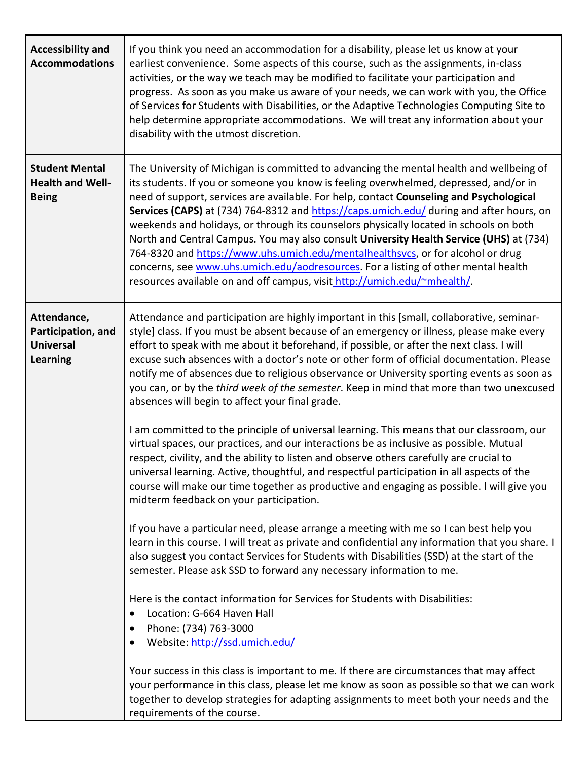| <b>Accessibility and</b><br><b>Accommodations</b>                        | If you think you need an accommodation for a disability, please let us know at your<br>earliest convenience. Some aspects of this course, such as the assignments, in-class<br>activities, or the way we teach may be modified to facilitate your participation and<br>progress. As soon as you make us aware of your needs, we can work with you, the Office<br>of Services for Students with Disabilities, or the Adaptive Technologies Computing Site to<br>help determine appropriate accommodations. We will treat any information about your<br>disability with the utmost discretion.                                                                                                                                                                                                                                                                                                                                                                                                                                                                                                                                                                                                                                                                                                                                                                                                                                                                                                                                 |
|--------------------------------------------------------------------------|------------------------------------------------------------------------------------------------------------------------------------------------------------------------------------------------------------------------------------------------------------------------------------------------------------------------------------------------------------------------------------------------------------------------------------------------------------------------------------------------------------------------------------------------------------------------------------------------------------------------------------------------------------------------------------------------------------------------------------------------------------------------------------------------------------------------------------------------------------------------------------------------------------------------------------------------------------------------------------------------------------------------------------------------------------------------------------------------------------------------------------------------------------------------------------------------------------------------------------------------------------------------------------------------------------------------------------------------------------------------------------------------------------------------------------------------------------------------------------------------------------------------------|
| <b>Student Mental</b><br><b>Health and Well-</b><br><b>Being</b>         | The University of Michigan is committed to advancing the mental health and wellbeing of<br>its students. If you or someone you know is feeling overwhelmed, depressed, and/or in<br>need of support, services are available. For help, contact Counseling and Psychological<br>Services (CAPS) at (734) 764-8312 and https://caps.umich.edu/ during and after hours, on<br>weekends and holidays, or through its counselors physically located in schools on both<br>North and Central Campus. You may also consult University Health Service (UHS) at (734)<br>764-8320 and https://www.uhs.umich.edu/mentalhealthsvcs, or for alcohol or drug<br>concerns, see www.uhs.umich.edu/aodresources. For a listing of other mental health<br>resources available on and off campus, visit http://umich.edu/~mhealth/.                                                                                                                                                                                                                                                                                                                                                                                                                                                                                                                                                                                                                                                                                                            |
| Attendance,<br>Participation, and<br><b>Universal</b><br><b>Learning</b> | Attendance and participation are highly important in this [small, collaborative, seminar-<br>style] class. If you must be absent because of an emergency or illness, please make every<br>effort to speak with me about it beforehand, if possible, or after the next class. I will<br>excuse such absences with a doctor's note or other form of official documentation. Please<br>notify me of absences due to religious observance or University sporting events as soon as<br>you can, or by the third week of the semester. Keep in mind that more than two unexcused<br>absences will begin to affect your final grade.<br>I am committed to the principle of universal learning. This means that our classroom, our<br>virtual spaces, our practices, and our interactions be as inclusive as possible. Mutual<br>respect, civility, and the ability to listen and observe others carefully are crucial to<br>universal learning. Active, thoughtful, and respectful participation in all aspects of the<br>course will make our time together as productive and engaging as possible. I will give you<br>midterm feedback on your participation.<br>If you have a particular need, please arrange a meeting with me so I can best help you<br>learn in this course. I will treat as private and confidential any information that you share. I<br>also suggest you contact Services for Students with Disabilities (SSD) at the start of the<br>semester. Please ask SSD to forward any necessary information to me. |
|                                                                          | Here is the contact information for Services for Students with Disabilities:<br>Location: G-664 Haven Hall<br>Phone: (734) 763-3000<br>Website: http://ssd.umich.edu/<br>Your success in this class is important to me. If there are circumstances that may affect<br>your performance in this class, please let me know as soon as possible so that we can work<br>together to develop strategies for adapting assignments to meet both your needs and the<br>requirements of the course.                                                                                                                                                                                                                                                                                                                                                                                                                                                                                                                                                                                                                                                                                                                                                                                                                                                                                                                                                                                                                                   |

 $\mathbf{L}$